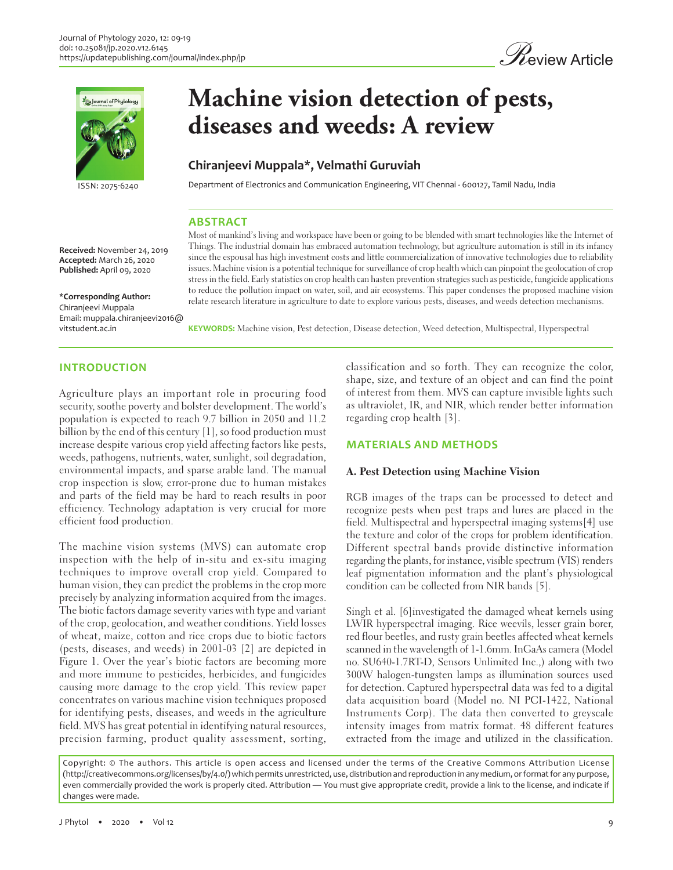



**Published:** April 09, 2020

**\*Corresponding Author:** Chiranjeevi Muppala

# **Machine vision detection of pests, diseases and weeds: A review**

## **Chiranjeevi Muppala\*, Velmathi Guruviah**

ISSN: 2075-6240 Department of Electronics and Communication Engineering, VIT Chennai - 600127, Tamil Nadu, India

### **ABSTRACT**

Most of mankind's living and workspace have been or going to be blended with smart technologies like the Internet of Things. The industrial domain has embraced automation technology, but agriculture automation is still in its infancy since the espousal has high investment costs and little commercialization of innovative technologies due to reliability issues. Machine vision is a potential technique for surveillance of crop health which can pinpoint the geolocation of crop stress in the field. Early statistics on crop health can hasten prevention strategies such as pesticide, fungicide applications to reduce the pollution impact on water, soil, and air ecosystems. This paper condenses the proposed machine vision relate research literature in agriculture to date to explore various pests, diseases, and weeds detection mechanisms.

**KEYWORDS:** Machine vision, Pest detection, Disease detection, Weed detection, Multispectral, Hyperspectral

## **INTRODUCTION**

vitstudent.ac.in

Agriculture plays an important role in procuring food security, soothe poverty and bolster development. The world's population is expected to reach 9.7 billion in 2050 and 11.2 billion by the end of this century [1], so food production must increase despite various crop yield affecting factors like pests, weeds, pathogens, nutrients, water, sunlight, soil degradation, environmental impacts, and sparse arable land. The manual crop inspection is slow, error-prone due to human mistakes and parts of the field may be hard to reach results in poor efficiency. Technology adaptation is very crucial for more efficient food production.

The machine vision systems (MVS) can automate crop inspection with the help of in-situ and ex-situ imaging techniques to improve overall crop yield. Compared to human vision, they can predict the problems in the crop more precisely by analyzing information acquired from the images. The biotic factors damage severity varies with type and variant of the crop, geolocation, and weather conditions. Yield losses of wheat, maize, cotton and rice crops due to biotic factors (pests, diseases, and weeds) in 2001-03 [2] are depicted in Figure 1. Over the year's biotic factors are becoming more and more immune to pesticides, herbicides, and fungicides causing more damage to the crop yield. This review paper concentrates on various machine vision techniques proposed for identifying pests, diseases, and weeds in the agriculture field. MVS has great potential in identifying natural resources, precision farming, product quality assessment, sorting,

classification and so forth. They can recognize the color, shape, size, and texture of an object and can find the point of interest from them. MVS can capture invisible lights such as ultraviolet, IR, and NIR, which render better information regarding crop health [3].

#### **MATERIALS AND METHODS**

#### **A. Pest Detection using Machine Vision**

RGB images of the traps can be processed to detect and recognize pests when pest traps and lures are placed in the field. Multispectral and hyperspectral imaging systems[4] use the texture and color of the crops for problem identification. Different spectral bands provide distinctive information regarding the plants, for instance, visible spectrum (VIS) renders leaf pigmentation information and the plant's physiological condition can be collected from NIR bands [5].

Singh et al. [6]investigated the damaged wheat kernels using LWIR hyperspectral imaging. Rice weevils, lesser grain borer, red flour beetles, and rusty grain beetles affected wheat kernels scanned in the wavelength of 1-1.6mm. InGaAs camera (Model no. SU640-1.7RT-D, Sensors Unlimited Inc.,) along with two 300W halogen-tungsten lamps as illumination sources used for detection. Captured hyperspectral data was fed to a digital data acquisition board (Model no. NI PCI-1422, National Instruments Corp). The data then converted to greyscale intensity images from matrix format. 48 different features extracted from the image and utilized in the classification.

Copyright: © The authors. This article is open access and licensed under the terms of the Creative Commons Attribution License (http://creativecommons.org/licenses/by/4.0/) which permits unrestricted, use, distribution and reproduction in any medium, or format for any purpose, even commercially provided the work is properly cited. Attribution — You must give appropriate credit, provide a link to the license, and indicate if changes were made.

**Received:** November 24, 2019 **Accepted:** March 26, 2020

Email: muppala.chiranjeevi2016@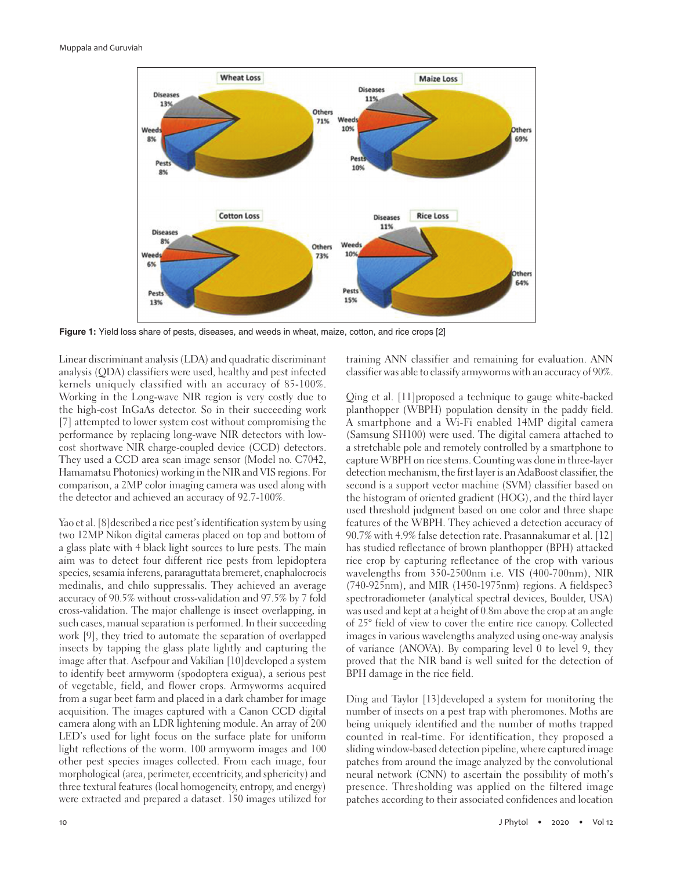

**Figure 1:** Yield loss share of pests, diseases, and weeds in wheat, maize, cotton, and rice crops [2]

Linear discriminant analysis (LDA) and quadratic discriminant analysis (QDA) classifiers were used, healthy and pest infected kernels uniquely classified with an accuracy of 85-100%. Working in the Long-wave NIR region is very costly due to the high-cost InGaAs detector. So in their succeeding work [7] attempted to lower system cost without compromising the performance by replacing long-wave NIR detectors with lowcost shortwave NIR charge-coupled device (CCD) detectors. They used a CCD area scan image sensor (Model no. C7042, Hamamatsu Photonics) working in the NIR and VIS regions. For comparison, a 2MP color imaging camera was used along with the detector and achieved an accuracy of 92.7-100%.

Yao et al. [8] described a rice pest's identification system by using two 12MP Nikon digital cameras placed on top and bottom of a glass plate with 4 black light sources to lure pests. The main aim was to detect four different rice pests from lepidoptera species, sesamia inferens, pararaguttata bremeret, cnaphalocrocis medinalis, and chilo suppressalis. They achieved an average accuracy of 90.5% without cross-validation and 97.5% by 7 fold cross-validation. The major challenge is insect overlapping, in such cases, manual separation is performed. In their succeeding work [9], they tried to automate the separation of overlapped insects by tapping the glass plate lightly and capturing the image after that. Asefpour and Vakilian [10]developed a system to identify beet armyworm (spodoptera exigua), a serious pest of vegetable, field, and flower crops. Armyworms acquired from a sugar beet farm and placed in a dark chamber for image acquisition. The images captured with a Canon CCD digital camera along with an LDR lightening module. An array of 200 LED's used for light focus on the surface plate for uniform light reflections of the worm. 100 armyworm images and 100 other pest species images collected. From each image, four morphological (area, perimeter, eccentricity, and sphericity) and three textural features (local homogeneity, entropy, and energy) were extracted and prepared a dataset. 150 images utilized for training ANN classifier and remaining for evaluation. ANN classifier was able to classify armyworms with an accuracy of 90%.

Qing et al. [11]proposed a technique to gauge white-backed planthopper (WBPH) population density in the paddy field. A smartphone and a Wi-Fi enabled 14MP digital camera (Samsung SH100) were used. The digital camera attached to a stretchable pole and remotely controlled by a smartphone to capture WBPH on rice stems. Counting was done in three-layer detection mechanism, the first layer is an AdaBoost classifier, the second is a support vector machine (SVM) classifier based on the histogram of oriented gradient (HOG), and the third layer used threshold judgment based on one color and three shape features of the WBPH. They achieved a detection accuracy of 90.7% with 4.9% false detection rate. Prasannakumar et al. [12] has studied reflectance of brown planthopper (BPH) attacked rice crop by capturing reflectance of the crop with various wavelengths from 350-2500nm i.e. VIS (400-700nm), NIR (740-925nm), and MIR (1450-1975nm) regions. A fieldspec3 spectroradiometer (analytical spectral devices, Boulder, USA) was used and kept at a height of 0.8m above the crop at an angle of 25° field of view to cover the entire rice canopy. Collected images in various wavelengths analyzed using one-way analysis of variance (ANOVA). By comparing level 0 to level 9, they proved that the NIR band is well suited for the detection of BPH damage in the rice field.

Ding and Taylor [13]developed a system for monitoring the number of insects on a pest trap with pheromones. Moths are being uniquely identified and the number of moths trapped counted in real-time. For identification, they proposed a sliding window-based detection pipeline, where captured image patches from around the image analyzed by the convolutional neural network (CNN) to ascertain the possibility of moth's presence. Thresholding was applied on the filtered image patches according to their associated confidences and location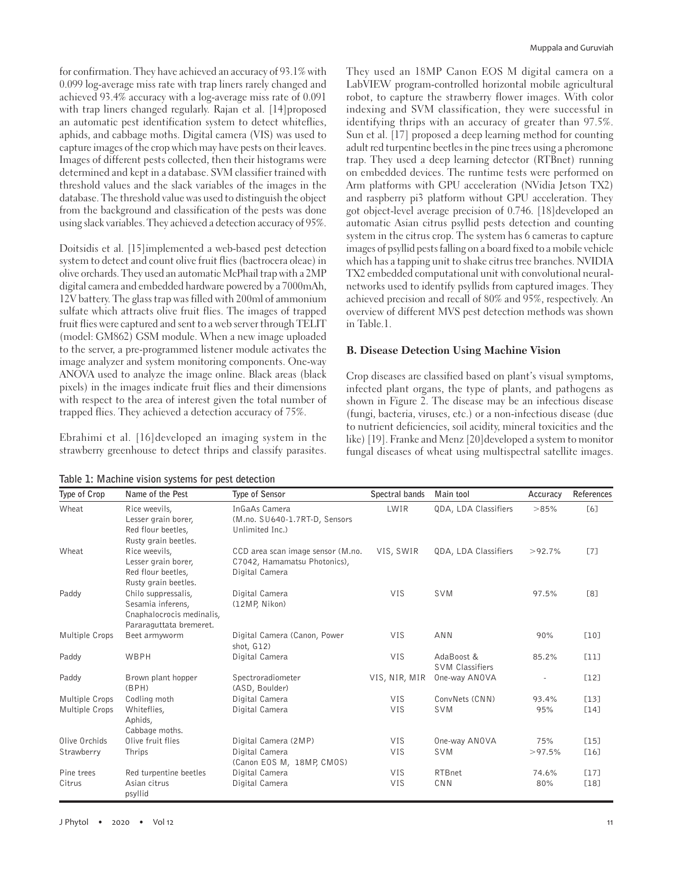for confirmation. They have achieved an accuracy of 93.1% with 0.099 log-average miss rate with trap liners rarely changed and achieved 93.4% accuracy with a log-average miss rate of 0.091 with trap liners changed regularly. Rajan et al. [14]proposed an automatic pest identification system to detect whiteflies, aphids, and cabbage moths. Digital camera (VIS) was used to capture images of the crop which may have pests on their leaves. Images of different pests collected, then their histograms were determined and kept in a database. SVM classifier trained with threshold values and the slack variables of the images in the database. The threshold value was used to distinguish the object from the background and classification of the pests was done using slack variables. They achieved a detection accuracy of 95%.

Doitsidis et al. [15]implemented a web-based pest detection system to detect and count olive fruit flies (bactrocera oleae) in olive orchards. They used an automatic McPhail trap with a 2MP digital camera and embedded hardware powered by a 7000mAh, 12V battery. The glass trap was filled with 200ml of ammonium sulfate which attracts olive fruit flies. The images of trapped fruit flies were captured and sent to a web server through TELIT (model: GM862) GSM module. When a new image uploaded to the server, a pre-programmed listener module activates the image analyzer and system monitoring components. One-way ANOVA used to analyze the image online. Black areas (black pixels) in the images indicate fruit flies and their dimensions with respect to the area of interest given the total number of trapped flies. They achieved a detection accuracy of 75%.

Ebrahimi et al. [16]developed an imaging system in the strawberry greenhouse to detect thrips and classify parasites.

**Table 1: Machine vision systems for pest detection**

They used an 18MP Canon EOS M digital camera on a LabVIEW program-controlled horizontal mobile agricultural robot, to capture the strawberry flower images. With color indexing and SVM classification, they were successful in identifying thrips with an accuracy of greater than 97.5%. Sun et al. [17] proposed a deep learning method for counting adult red turpentine beetles in the pine trees using a pheromone trap. They used a deep learning detector (RTBnet) running on embedded devices. The runtime tests were performed on Arm platforms with GPU acceleration (NVidia Jetson TX2) and raspberry pi3 platform without GPU acceleration. They got object-level average precision of 0.746. [18]developed an automatic Asian citrus psyllid pests detection and counting system in the citrus crop. The system has 6 cameras to capture images of psyllid pests falling on a board fixed to a mobile vehicle which has a tapping unit to shake citrus tree branches. NVIDIA TX2 embedded computational unit with convolutional neuralnetworks used to identify psyllids from captured images. They achieved precision and recall of 80% and 95%, respectively. An overview of different MVS pest detection methods was shown in Table.1.

#### **B. Disease Detection Using Machine Vision**

Crop diseases are classified based on plant's visual symptoms, infected plant organs, the type of plants, and pathogens as shown in Figure 2. The disease may be an infectious disease (fungi, bacteria, viruses, etc.) or a non-infectious disease (due to nutrient deficiencies, soil acidity, mineral toxicities and the like) [19]. Franke and Menz [20]developed a system to monitor fungal diseases of wheat using multispectral satellite images.

| Type of Crop   | Name of the Pest                           | Type of Sensor                                 | Spectral bands | Main tool              | Accuracy  | References |
|----------------|--------------------------------------------|------------------------------------------------|----------------|------------------------|-----------|------------|
| Wheat          | Rice weevils,<br>Lesser grain borer,       | InGaAs Camera<br>(M.no. SU640-1.7RT-D, Sensors | LWIR           | QDA, LDA Classifiers   | >85%      | [6]        |
|                | Red flour beetles,<br>Rusty grain beetles. | Unlimited Inc.)                                |                |                        |           |            |
| Wheat          | Rice weevils,                              | CCD area scan image sensor (M.no.              | VIS, SWIR      | QDA, LDA Classifiers   | $>92.7\%$ | [7]        |
|                | Lesser grain borer,                        | C7042, Hamamatsu Photonics),                   |                |                        |           |            |
|                | Red flour beetles,                         | Digital Camera                                 |                |                        |           |            |
|                | Rusty grain beetles.                       |                                                |                |                        |           |            |
| Paddy          | Chilo suppressalis,                        | Digital Camera                                 | <b>VIS</b>     | SVM                    | 97.5%     | [8]        |
|                | Sesamia inferens,                          | (12MP, Nikon)                                  |                |                        |           |            |
|                | Cnaphalocrocis medinalis,                  |                                                |                |                        |           |            |
|                | Pararaguttata bremeret.                    |                                                |                |                        |           |            |
| Multiple Crops | Beet armyworm                              | Digital Camera (Canon, Power<br>shot, G12)     | <b>VIS</b>     | <b>ANN</b>             | 90%       | [10]       |
| Paddy          | WBPH                                       | Digital Camera                                 | <b>VIS</b>     | AdaBoost &             | 85.2%     | [11]       |
|                |                                            |                                                |                | <b>SVM Classifiers</b> |           |            |
| Paddy          | Brown plant hopper                         | Spectroradiometer                              | VIS, NIR, MIR  | One-way ANOVA          |           | [12]       |
|                | (BPH)                                      | (ASD, Boulder)                                 |                |                        |           |            |
| Multiple Crops | Codling moth                               | Digital Camera                                 | VIS            | ConvNets (CNN)         | 93.4%     | [13]       |
| Multiple Crops | Whiteflies,                                | Digital Camera                                 | <b>VIS</b>     | <b>SVM</b>             | 95%       | $[14]$     |
|                | Aphids,                                    |                                                |                |                        |           |            |
|                | Cabbage moths.                             |                                                |                |                        |           |            |
| Olive Orchids  | Olive fruit flies                          | Digital Camera (2MP)                           | <b>VIS</b>     | One-way ANOVA          | 75%       | $[15]$     |
| Strawberry     | Thrips                                     | Digital Camera                                 | <b>VIS</b>     | <b>SVM</b>             | >97.5%    | [16]       |
|                |                                            | (Canon EOS M, 18MP, CMOS)                      |                |                        |           |            |
| Pine trees     | Red turpentine beetles                     | Digital Camera                                 | <b>VIS</b>     | <b>RTBnet</b>          | 74.6%     | [17]       |
| Citrus         | Asian citrus<br>psyllid                    | Digital Camera                                 | <b>VIS</b>     | CNN                    | 80%       | [18]       |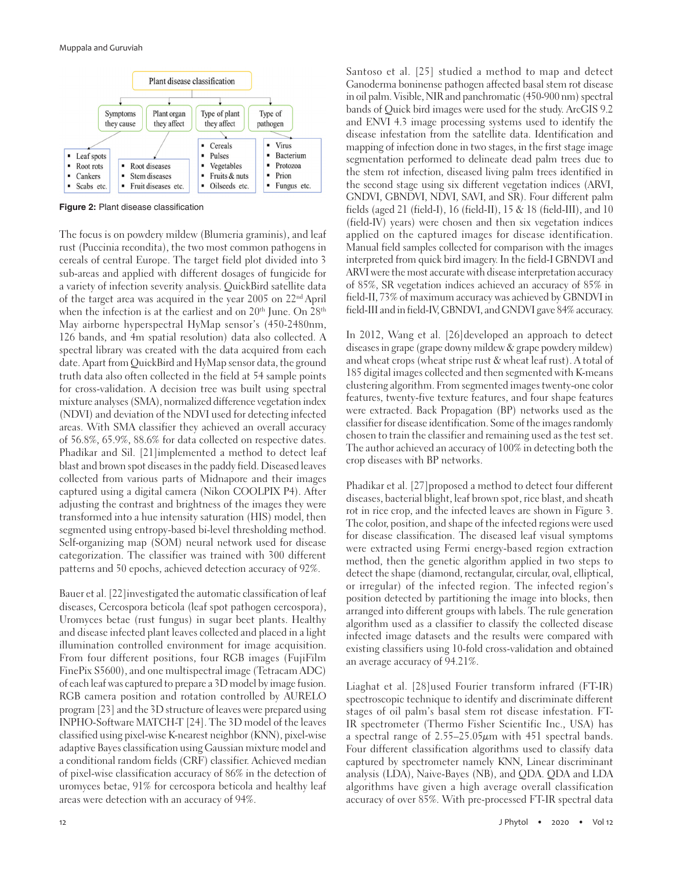

**Figure 2:** Plant disease classification

The focus is on powdery mildew (Blumeria graminis), and leaf rust (Puccinia recondita), the two most common pathogens in cereals of central Europe. The target field plot divided into 3 sub-areas and applied with different dosages of fungicide for a variety of infection severity analysis. QuickBird satellite data of the target area was acquired in the year 2005 on 22nd April when the infection is at the earliest and on 20<sup>th</sup> June. On 28<sup>th</sup> May airborne hyperspectral HyMap sensor's (450-2480nm, 126 bands, and 4m spatial resolution) data also collected. A spectral library was created with the data acquired from each date. Apart from QuickBird and HyMap sensor data, the ground truth data also often collected in the field at 54 sample points for cross-validation. A decision tree was built using spectral mixture analyses (SMA), normalized difference vegetation index (NDVI) and deviation of the NDVI used for detecting infected areas. With SMA classifier they achieved an overall accuracy of 56.8%, 65.9%, 88.6% for data collected on respective dates. Phadikar and Sil. [21]implemented a method to detect leaf blast and brown spot diseases in the paddy field. Diseased leaves collected from various parts of Midnapore and their images captured using a digital camera (Nikon COOLPIX P4). After adjusting the contrast and brightness of the images they were transformed into a hue intensity saturation (HIS) model, then segmented using entropy-based bi-level thresholding method. Self-organizing map (SOM) neural network used for disease categorization. The classifier was trained with 300 different patterns and 50 epochs, achieved detection accuracy of 92%.

Bauer et al. [22]investigated the automatic classification of leaf diseases, Cercospora beticola (leaf spot pathogen cercospora), Uromyces betae (rust fungus) in sugar beet plants. Healthy and disease infected plant leaves collected and placed in a light illumination controlled environment for image acquisition. From four different positions, four RGB images (FujiFilm FinePix S5600), and one multispectral image (Tetracam ADC) of each leaf was captured to prepare a 3D model by image fusion. RGB camera position and rotation controlled by AURELO program [23] and the 3D structure of leaves were prepared using INPHO-Software MATCH-T [24]. The 3D model of the leaves classified using pixel-wise K-nearest neighbor (KNN), pixel-wise adaptive Bayes classification using Gaussian mixture model and a conditional random fields (CRF) classifier. Achieved median of pixel-wise classification accuracy of 86% in the detection of uromyces betae, 91% for cercospora beticola and healthy leaf areas were detection with an accuracy of 94%.

Santoso et al. [25] studied a method to map and detect Ganoderma boninense pathogen affected basal stem rot disease in oil palm. Visible, NIR and panchromatic (450-900 nm) spectral bands of Quick bird images were used for the study. ArcGIS 9.2 and ENVI 4.3 image processing systems used to identify the disease infestation from the satellite data. Identification and mapping of infection done in two stages, in the first stage image segmentation performed to delineate dead palm trees due to the stem rot infection, diseased living palm trees identified in the second stage using six different vegetation indices (ARVI, GNDVI, GBNDVI, NDVI, SAVI, and SR). Four different palm fields (aged 21 (field-I), 16 (field-II), 15 & 18 (field-III), and 10 (field-IV) years) were chosen and then six vegetation indices applied on the captured images for disease identification. Manual field samples collected for comparison with the images interpreted from quick bird imagery. In the field-I GBNDVI and ARVI were the most accurate with disease interpretation accuracy of 85%, SR vegetation indices achieved an accuracy of 85% in field-II, 73% of maximum accuracy was achieved by GBNDVI in field-III and in field-IV, GBNDVI, and GNDVI gave 84% accuracy.

In 2012, Wang et al. [26]developed an approach to detect diseases in grape (grape downy mildew & grape powdery mildew) and wheat crops (wheat stripe rust & wheat leaf rust). A total of 185 digital images collected and then segmented with K-means clustering algorithm. From segmented images twenty-one color features, twenty-five texture features, and four shape features were extracted. Back Propagation (BP) networks used as the classifier for disease identification. Some of the images randomly chosen to train the classifier and remaining used as the test set. The author achieved an accuracy of 100% in detecting both the crop diseases with BP networks.

Phadikar et al. [27]proposed a method to detect four different diseases, bacterial blight, leaf brown spot, rice blast, and sheath rot in rice crop, and the infected leaves are shown in Figure 3. The color, position, and shape of the infected regions were used for disease classification. The diseased leaf visual symptoms were extracted using Fermi energy-based region extraction method, then the genetic algorithm applied in two steps to detect the shape (diamond, rectangular, circular, oval, elliptical, or irregular) of the infected region. The infected region's position detected by partitioning the image into blocks, then arranged into different groups with labels. The rule generation algorithm used as a classifier to classify the collected disease infected image datasets and the results were compared with existing classifiers using 10-fold cross-validation and obtained an average accuracy of 94.21%.

Liaghat et al. [28]used Fourier transform infrared (FT-IR) spectroscopic technique to identify and discriminate different stages of oil palm's basal stem rot disease infestation. FT-IR spectrometer (Thermo Fisher Scientific Inc., USA) has a spectral range of  $2.55-25.05\mu m$  with 451 spectral bands. Four different classification algorithms used to classify data captured by spectrometer namely KNN, Linear discriminant analysis (LDA), Naive-Bayes (NB), and QDA. QDA and LDA algorithms have given a high average overall classification accuracy of over 85%. With pre-processed FT-IR spectral data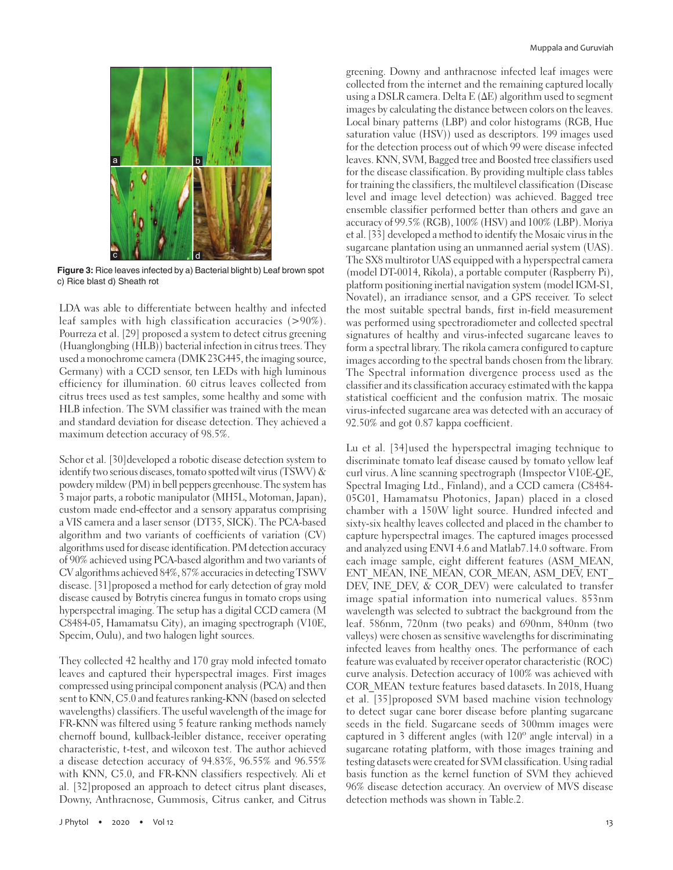

**Figure 3:** Rice leaves infected by a) Bacterial blight b) Leaf brown spot c) Rice blast d) Sheath rot

LDA was able to differentiate between healthy and infected leaf samples with high classification accuracies (>90%). Pourreza et al. [29] proposed a system to detect citrus greening (Huanglongbing (HLB)) bacterial infection in citrus trees. They used a monochrome camera (DMK 23G445, the imaging source, Germany) with a CCD sensor, ten LEDs with high luminous efficiency for illumination. 60 citrus leaves collected from citrus trees used as test samples, some healthy and some with HLB infection. The SVM classifier was trained with the mean and standard deviation for disease detection. They achieved a maximum detection accuracy of 98.5%.

Schor et al. [30] developed a robotic disease detection system to identify two serious diseases, tomato spotted wilt virus (TSWV) & powdery mildew (PM) in bell peppers greenhouse. The system has 3 major parts, a robotic manipulator (MH5L, Motoman, Japan), custom made end-effector and a sensory apparatus comprising a VIS camera and a laser sensor (DT35, SICK). The PCA-based algorithm and two variants of coefficients of variation (CV) algorithms used for disease identification. PM detection accuracy of 90% achieved using PCA-based algorithm and two variants of CV algorithms achieved 84%, 87% accuracies in detecting TSWV disease. [31]proposed a method for early detection of gray mold disease caused by Botrytis cinerea fungus in tomato crops using hyperspectral imaging. The setup has a digital CCD camera (M C8484-05, Hamamatsu City), an imaging spectrograph (V10E, Specim, Oulu), and two halogen light sources.

They collected 42 healthy and 170 gray mold infected tomato leaves and captured their hyperspectral images. First images compressed using principal component analysis (PCA) and then sent to KNN, C5.0 and features ranking-KNN (based on selected wavelengths) classifiers. The useful wavelength of the image for FR-KNN was filtered using 5 feature ranking methods namely chernoff bound, kullback-leibler distance, receiver operating characteristic, t-test, and wilcoxon test. The author achieved a disease detection accuracy of 94.83%, 96.55% and 96.55% with KNN, C5.0, and FR-KNN classifiers respectively. Ali et al. [32]proposed an approach to detect citrus plant diseases, Downy, Anthracnose, Gummosis, Citrus canker, and Citrus greening. Downy and anthracnose infected leaf images were collected from the internet and the remaining captured locally using a DSLR camera. Delta E (ΔE) algorithm used to segment images by calculating the distance between colors on the leaves. Local binary patterns (LBP) and color histograms (RGB, Hue saturation value (HSV)) used as descriptors. 199 images used for the detection process out of which 99 were disease infected leaves. KNN, SVM, Bagged tree and Boosted tree classifiers used for the disease classification. By providing multiple class tables for training the classifiers, the multilevel classification (Disease level and image level detection) was achieved. Bagged tree ensemble classifier performed better than others and gave an accuracy of 99.5% (RGB), 100% (HSV) and 100% (LBP). Moriya et al. [33] developed a method to identify the Mosaic virus in the sugarcane plantation using an unmanned aerial system (UAS). The SX8 multirotor UAS equipped with a hyperspectral camera (model DT-0014, Rikola), a portable computer (Raspberry Pi), platform positioning inertial navigation system (model IGM-S1, Novatel), an irradiance sensor, and a GPS receiver. To select the most suitable spectral bands, first in-field measurement was performed using spectroradiometer and collected spectral signatures of healthy and virus-infected sugarcane leaves to form a spectral library. The rikola camera configured to capture images according to the spectral bands chosen from the library. The Spectral information divergence process used as the classifier and its classification accuracy estimated with the kappa statistical coefficient and the confusion matrix. The mosaic virus-infected sugarcane area was detected with an accuracy of 92.50% and got 0.87 kappa coefficient.

Lu et al. [34]used the hyperspectral imaging technique to discriminate tomato leaf disease caused by tomato yellow leaf curl virus. A line scanning spectrograph (Imspector V10E-QE, Spectral Imaging Ltd., Finland), and a CCD camera (C8484- 05G01, Hamamatsu Photonics, Japan) placed in a closed chamber with a 150W light source. Hundred infected and sixty-six healthy leaves collected and placed in the chamber to capture hyperspectral images. The captured images processed and analyzed using ENVI 4.6 and Matlab7.14.0 software. From each image sample, eight different features (ASM\_MEAN, ENT\_MEAN, INE\_MEAN, COR\_MEAN, ASM\_DEV, ENT DEV, INE\_DEV, & COR\_DEV) were calculated to transfer image spatial information into numerical values. 853nm wavelength was selected to subtract the background from the leaf. 586nm, 720nm (two peaks) and 690nm, 840nm (two valleys) were chosen as sensitive wavelengths for discriminating infected leaves from healthy ones. The performance of each feature was evaluated by receiver operator characteristic (ROC) curve analysis. Detection accuracy of 100% was achieved with COR\_MEAN texture features based datasets. In 2018, Huang et al. [35]proposed SVM based machine vision technology to detect sugar cane borer disease before planting sugarcane seeds in the field. Sugarcane seeds of 300mm images were captured in 3 different angles (with 120º angle interval) in a sugarcane rotating platform, with those images training and testing datasets were created for SVM classification. Using radial basis function as the kernel function of SVM they achieved 96% disease detection accuracy. An overview of MVS disease detection methods was shown in Table.2.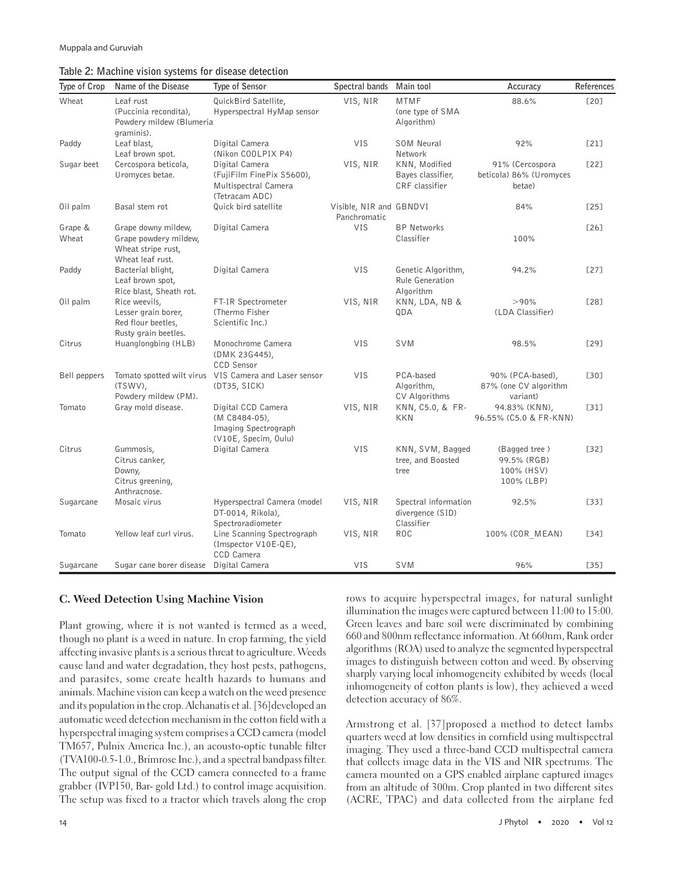## **Table 2: Machine vision systems for disease detection**

| Type of Crop     | Name of the Disease                                                                    | Type of Sensor                                                                        | Spectral bands                          | Main tool                                              | Accuracy                                                 | References |
|------------------|----------------------------------------------------------------------------------------|---------------------------------------------------------------------------------------|-----------------------------------------|--------------------------------------------------------|----------------------------------------------------------|------------|
| Wheat            | Leaf rust<br>(Puccinia recondita),<br>Powdery mildew (Blumeria<br>graminis).           | QuickBird Satellite,<br>Hyperspectral HyMap sensor                                    | VIS, NIR                                | <b>MTMF</b><br>(one type of SMA<br>Algorithm)          | 88.6%                                                    | [20]       |
| Paddy            | Leaf blast,<br>Leaf brown spot.                                                        | Digital Camera<br>(Nikon COOLPIX P4)                                                  | <b>VIS</b>                              | SOM Neural<br>Network                                  | 92%                                                      | [21]       |
| Sugar beet       | Cercospora beticola,<br>Uromyces betae.                                                | Digital Camera<br>(FujiFilm FinePix S5600),<br>Multispectral Camera<br>(Tetracam ADC) | VIS, NIR                                | KNN, Modified<br>Bayes classifier,<br>CRF classifier   | 91% (Cercospora<br>beticola) 86% (Uromyces<br>betae)     | [22]       |
| Oil palm         | Basal stem rot                                                                         | Quick bird satellite                                                                  | Visible, NIR and GBNDVI<br>Panchromatic |                                                        | 84%                                                      | [25]       |
| Grape &<br>Wheat | Grape downy mildew,<br>Grape powdery mildew,<br>Wheat stripe rust,<br>Wheat leaf rust. | Digital Camera                                                                        | VIS                                     | <b>BP Networks</b><br>Classifier                       | 100%                                                     | [26]       |
| Paddy            | Bacterial blight,<br>Leaf brown spot,<br>Rice blast, Sheath rot.                       | Digital Camera                                                                        | VIS                                     | Genetic Algorithm,<br>Rule Generation<br>Algorithm     | 94.2%                                                    | [27]       |
| Oil palm         | Rice weevils,<br>Lesser grain borer,<br>Red flour beetles,<br>Rusty grain beetles.     | FT-IR Spectrometer<br>(Thermo Fisher<br>Scientific Inc.)                              | VIS, NIR                                | KNN, LDA, NB &<br>QDA                                  | >90%<br>(LDA Classifier)                                 | [28]       |
| Citrus           | Huanglongbing (HLB)                                                                    | Monochrome Camera<br>(DMK 23G445),<br>CCD Sensor                                      | <b>VIS</b>                              | SVM                                                    | 98.5%                                                    | [29]       |
| Bell peppers     | Tomato spotted wilt virus<br>(TSWV),<br>Powdery mildew (PM).                           | VIS Camera and Laser sensor<br>(DT35, SICK)                                           | VIS                                     | PCA-based<br>Algorithm,<br><b>CV Algorithms</b>        | 90% (PCA-based),<br>87% (one CV algorithm<br>variant)    | [30]       |
| Tomato           | Gray mold disease.                                                                     | Digital CCD Camera<br>(M C8484-05),<br>Imaging Spectrograph<br>(V10E, Specim, Oulu)   | VIS, NIR                                | KNN, C5.0, & FR-<br>KKN                                | 94.83% (KNN),<br>96.55% (C5.0 & FR-KNN)                  | $[31]$     |
| Citrus           | Gummosis,<br>Citrus canker,<br>Downy,<br>Citrus greening,<br>Anthracnose.              | Digital Camera                                                                        | <b>VIS</b>                              | KNN, SVM, Bagged<br>tree, and Boosted<br>tree          | (Bagged tree)<br>99.5% (RGB)<br>100% (HSV)<br>100% (LBP) | $[32]$     |
| Sugarcane        | Mosaic virus                                                                           | Hyperspectral Camera (model<br>DT-0014, Rikola),<br>Spectroradiometer                 | VIS, NIR                                | Spectral information<br>divergence (SID)<br>Classifier | 92.5%                                                    | $[33]$     |
| Tomato           | Yellow leaf curl virus.                                                                | Line Scanning Spectrograph<br>(Imspector V10E-QE),<br>CCD Camera                      | VIS, NIR                                | <b>ROC</b>                                             | 100% (COR MEAN)                                          | $[34]$     |
| Sugarcane        | Sugar cane borer disease                                                               | Digital Camera                                                                        | VIS                                     | SVM                                                    | 96%                                                      | $[35]$     |

#### **C. Weed Detection Using Machine Vision**

Plant growing, where it is not wanted is termed as a weed, though no plant is a weed in nature. In crop farming, the yield affecting invasive plants is a serious threat to agriculture. Weeds cause land and water degradation, they host pests, pathogens, and parasites, some create health hazards to humans and animals. Machine vision can keep a watch on the weed presence and its population in the crop. Alchanatis et al. [36] developed an automatic weed detection mechanism in the cotton field with a hyperspectral imaging system comprises a CCD camera (model TM657, Pulnix America Inc.), an acousto-optic tunable filter (TVA100-0.5-1.0., Brimrose Inc.), and a spectral bandpass filter. The output signal of the CCD camera connected to a frame grabber (IVP150, Bar- gold Ltd.) to control image acquisition. The setup was fixed to a tractor which travels along the crop rows to acquire hyperspectral images, for natural sunlight illumination the images were captured between 11:00 to 15:00. Green leaves and bare soil were discriminated by combining 660 and 800nm reflectance information. At 660nm, Rank order algorithms (ROA) used to analyze the segmented hyperspectral images to distinguish between cotton and weed. By observing sharply varying local inhomogeneity exhibited by weeds (local inhomogeneity of cotton plants is low), they achieved a weed detection accuracy of 86%.

Armstrong et al. [37]proposed a method to detect lambs quarters weed at low densities in cornfield using multispectral imaging. They used a three-band CCD multispectral camera that collects image data in the VIS and NIR spectrums. The camera mounted on a GPS enabled airplane captured images from an altitude of 300m. Crop planted in two different sites (ACRE, TPAC) and data collected from the airplane fed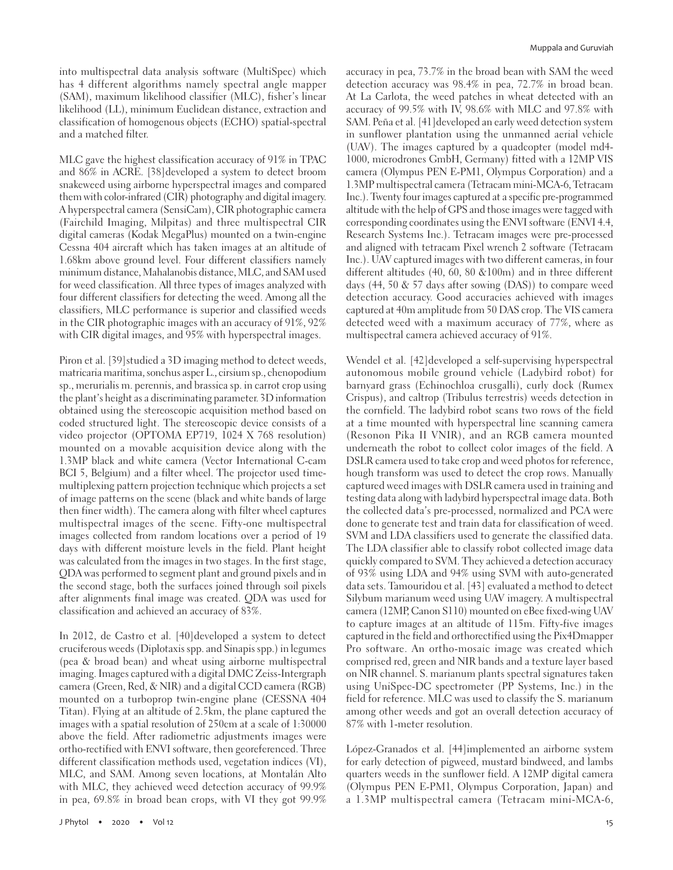into multispectral data analysis software (MultiSpec) which has 4 different algorithms namely spectral angle mapper (SAM), maximum likelihood classifier (MLC), fisher's linear likelihood (LL), minimum Euclidean distance, extraction and classification of homogenous objects (ECHO) spatial-spectral and a matched filter.

MLC gave the highest classification accuracy of 91% in TPAC and 86% in ACRE. [38]developed a system to detect broom snakeweed using airborne hyperspectral images and compared them with color-infrared (CIR) photography and digital imagery. A hyperspectral camera (SensiCam), CIR photographic camera (Fairchild Imaging, Milpitas) and three multispectral CIR digital cameras (Kodak MegaPlus) mounted on a twin-engine Cessna 404 aircraft which has taken images at an altitude of 1.68km above ground level. Four different classifiers namely minimum distance, Mahalanobis distance, MLC, and SAM used for weed classification. All three types of images analyzed with four different classifiers for detecting the weed. Among all the classifiers, MLC performance is superior and classified weeds in the CIR photographic images with an accuracy of 91%, 92% with CIR digital images, and 95% with hyperspectral images.

Piron et al. [39]studied a 3D imaging method to detect weeds, matricaria maritima, sonchus asper L., cirsium sp., chenopodium sp., merurialis m. perennis, and brassica sp. in carrot crop using the plant's height as a discriminating parameter. 3D information obtained using the stereoscopic acquisition method based on coded structured light. The stereoscopic device consists of a video projector (OPTOMA EP719, 1024 X 768 resolution) mounted on a movable acquisition device along with the 1.3MP black and white camera (Vector International C-cam BCI 5, Belgium) and a filter wheel. The projector used timemultiplexing pattern projection technique which projects a set of image patterns on the scene (black and white bands of large then finer width). The camera along with filter wheel captures multispectral images of the scene. Fifty-one multispectral images collected from random locations over a period of 19 days with different moisture levels in the field. Plant height was calculated from the images in two stages. In the first stage, QDA was performed to segment plant and ground pixels and in the second stage, both the surfaces joined through soil pixels after alignments final image was created. QDA was used for classification and achieved an accuracy of 83%.

In 2012, de Castro et al. [40]developed a system to detect cruciferous weeds (Diplotaxis spp. and Sinapis spp.) in legumes (pea & broad bean) and wheat using airborne multispectral imaging. Images captured with a digital DMC Zeiss-Intergraph camera (Green, Red, & NIR) and a digital CCD camera (RGB) mounted on a turboprop twin-engine plane (CESSNA 404 Titan). Flying at an altitude of 2.5km, the plane captured the images with a spatial resolution of 250cm at a scale of 1:30000 above the field. After radiometric adjustments images were ortho-rectified with ENVI software, then georeferenced. Three different classification methods used, vegetation indices (VI), MLC, and SAM. Among seven locations, at Montalán Alto with MLC, they achieved weed detection accuracy of 99.9% in pea, 69.8% in broad bean crops, with VI they got 99.9% accuracy in pea, 73.7% in the broad bean with SAM the weed detection accuracy was 98.4% in pea, 72.7% in broad bean. At La Carlota, the weed patches in wheat detected with an accuracy of 99.5% with IV, 98.6% with MLC and 97.8% with SAM. Peña et al. [41] developed an early weed detection system in sunflower plantation using the unmanned aerial vehicle (UAV). The images captured by a quadcopter (model md4- 1000, microdrones GmbH, Germany) fitted with a 12MP VIS camera (Olympus PEN E-PM1, Olympus Corporation) and a 1.3MP multispectral camera (Tetracam mini-MCA-6, Tetracam Inc.). Twenty four images captured at a specific pre-programmed altitude with the help of GPS and those images were tagged with corresponding coordinates using the ENVI software (ENVI 4.4, Research Systems Inc.). Tetracam images were pre-processed and aligned with tetracam Pixel wrench 2 software (Tetracam Inc.). UAV captured images with two different cameras, in four different altitudes (40, 60, 80 &100m) and in three different days (44, 50 & 57 days after sowing (DAS)) to compare weed detection accuracy. Good accuracies achieved with images captured at 40m amplitude from 50 DAS crop. The VIS camera detected weed with a maximum accuracy of 77%, where as multispectral camera achieved accuracy of 91%.

Wendel et al. [42] developed a self-supervising hyperspectral autonomous mobile ground vehicle (Ladybird robot) for barnyard grass (Echinochloa crusgalli), curly dock (Rumex Crispus), and caltrop (Tribulus terrestris) weeds detection in the cornfield. The ladybird robot scans two rows of the field at a time mounted with hyperspectral line scanning camera (Resonon Pika II VNIR), and an RGB camera mounted underneath the robot to collect color images of the field. A DSLR camera used to take crop and weed photos for reference, hough transform was used to detect the crop rows. Manually captured weed images with DSLR camera used in training and testing data along with ladybird hyperspectral image data. Both the collected data's pre-processed, normalized and PCA were done to generate test and train data for classification of weed. SVM and LDA classifiers used to generate the classified data. The LDA classifier able to classify robot collected image data quickly compared to SVM. They achieved a detection accuracy of 93% using LDA and 94% using SVM with auto-generated data sets. Tamouridou et al. [43] evaluated a method to detect Silybum marianum weed using UAV imagery. A multispectral camera (12MP, Canon S110) mounted on eBee fixed-wing UAV to capture images at an altitude of 115m. Fifty-five images captured in the field and orthorectified using the Pix4Dmapper Pro software. An ortho-mosaic image was created which comprised red, green and NIR bands and a texture layer based on NIR channel. S. marianum plants spectral signatures taken using UniSpec-DC spectrometer (PP Systems, Inc.) in the field for reference. MLC was used to classify the S. marianum among other weeds and got an overall detection accuracy of 87% with 1-meter resolution.

López-Granados et al. [44]implemented an airborne system for early detection of pigweed, mustard bindweed, and lambs quarters weeds in the sunflower field. A 12MP digital camera (Olympus PEN E-PM1, Olympus Corporation, Japan) and a 1.3MP multispectral camera (Tetracam mini-MCA-6,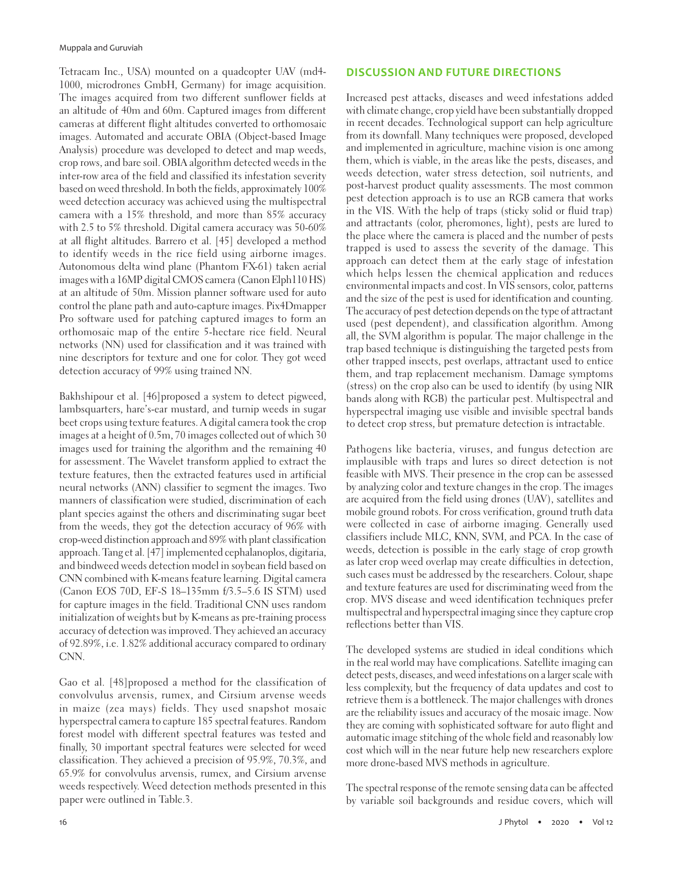Tetracam Inc., USA) mounted on a quadcopter UAV (md4- 1000, microdrones GmbH, Germany) for image acquisition. The images acquired from two different sunflower fields at an altitude of 40m and 60m. Captured images from different cameras at different flight altitudes converted to orthomosaic images. Automated and accurate OBIA (Object-based Image Analysis) procedure was developed to detect and map weeds, crop rows, and bare soil. OBIA algorithm detected weeds in the inter-row area of the field and classified its infestation severity based on weed threshold. In both the fields, approximately 100% weed detection accuracy was achieved using the multispectral camera with a 15% threshold, and more than 85% accuracy with 2.5 to 5% threshold. Digital camera accuracy was 50-60% at all flight altitudes. Barrero et al. [45] developed a method to identify weeds in the rice field using airborne images. Autonomous delta wind plane (Phantom FX-61) taken aerial images with a 16MP digital CMOS camera (Canon Elph110 HS) at an altitude of 50m. Mission planner software used for auto control the plane path and auto-capture images. Pix4Dmapper Pro software used for patching captured images to form an orthomosaic map of the entire 5-hectare rice field. Neural networks (NN) used for classification and it was trained with nine descriptors for texture and one for color. They got weed detection accuracy of 99% using trained NN.

Bakhshipour et al. [46]proposed a system to detect pigweed, lambsquarters, hare's-ear mustard, and turnip weeds in sugar beet crops using texture features. A digital camera took the crop images at a height of 0.5m, 70 images collected out of which 30 images used for training the algorithm and the remaining 40 for assessment. The Wavelet transform applied to extract the texture features, then the extracted features used in artificial neural networks (ANN) classifier to segment the images. Two manners of classification were studied, discrimination of each plant species against the others and discriminating sugar beet from the weeds, they got the detection accuracy of 96% with crop-weed distinction approach and 89% with plant classification approach. Tang et al. [47] implemented cephalanoplos, digitaria, and bindweed weeds detection model in soybean field based on CNN combined with K-means feature learning. Digital camera (Canon EOS 70D, EF-S 18–135mm f/3.5–5.6 IS STM) used for capture images in the field. Traditional CNN uses random initialization of weights but by K-means as pre-training process accuracy of detection was improved. They achieved an accuracy of 92.89%, i.e. 1.82% additional accuracy compared to ordinary CNN.

Gao et al. [48]proposed a method for the classification of convolvulus arvensis, rumex, and Cirsium arvense weeds in maize (zea mays) fields. They used snapshot mosaic hyperspectral camera to capture 185 spectral features. Random forest model with different spectral features was tested and finally, 30 important spectral features were selected for weed classification. They achieved a precision of 95.9%, 70.3%, and 65.9% for convolvulus arvensis, rumex, and Cirsium arvense weeds respectively. Weed detection methods presented in this paper were outlined in Table.3.

### **DISCUSSION AND FUTURE DIRECTIONS**

Increased pest attacks, diseases and weed infestations added with climate change, crop yield have been substantially dropped in recent decades. Technological support can help agriculture from its downfall. Many techniques were proposed, developed and implemented in agriculture, machine vision is one among them, which is viable, in the areas like the pests, diseases, and weeds detection, water stress detection, soil nutrients, and post-harvest product quality assessments. The most common pest detection approach is to use an RGB camera that works in the VIS. With the help of traps (sticky solid or fluid trap) and attractants (color, pheromones, light), pests are lured to the place where the camera is placed and the number of pests trapped is used to assess the severity of the damage. This approach can detect them at the early stage of infestation which helps lessen the chemical application and reduces environmental impacts and cost. In VIS sensors, color, patterns and the size of the pest is used for identification and counting. The accuracy of pest detection depends on the type of attractant used (pest dependent), and classification algorithm. Among all, the SVM algorithm is popular. The major challenge in the trap based technique is distinguishing the targeted pests from other trapped insects, pest overlaps, attractant used to entice them, and trap replacement mechanism. Damage symptoms (stress) on the crop also can be used to identify (by using NIR bands along with RGB) the particular pest. Multispectral and hyperspectral imaging use visible and invisible spectral bands to detect crop stress, but premature detection is intractable.

Pathogens like bacteria, viruses, and fungus detection are implausible with traps and lures so direct detection is not feasible with MVS. Their presence in the crop can be assessed by analyzing color and texture changes in the crop. The images are acquired from the field using drones (UAV), satellites and mobile ground robots. For cross verification, ground truth data were collected in case of airborne imaging. Generally used classifiers include MLC, KNN, SVM, and PCA. In the case of weeds, detection is possible in the early stage of crop growth as later crop weed overlap may create difficulties in detection, such cases must be addressed by the researchers. Colour, shape and texture features are used for discriminating weed from the crop. MVS disease and weed identification techniques prefer multispectral and hyperspectral imaging since they capture crop reflections better than VIS.

The developed systems are studied in ideal conditions which in the real world may have complications. Satellite imaging can detect pests, diseases, and weed infestations on a larger scale with less complexity, but the frequency of data updates and cost to retrieve them is a bottleneck. The major challenges with drones are the reliability issues and accuracy of the mosaic image. Now they are coming with sophisticated software for auto flight and automatic image stitching of the whole field and reasonably low cost which will in the near future help new researchers explore more drone-based MVS methods in agriculture.

The spectral response of the remote sensing data can be affected by variable soil backgrounds and residue covers, which will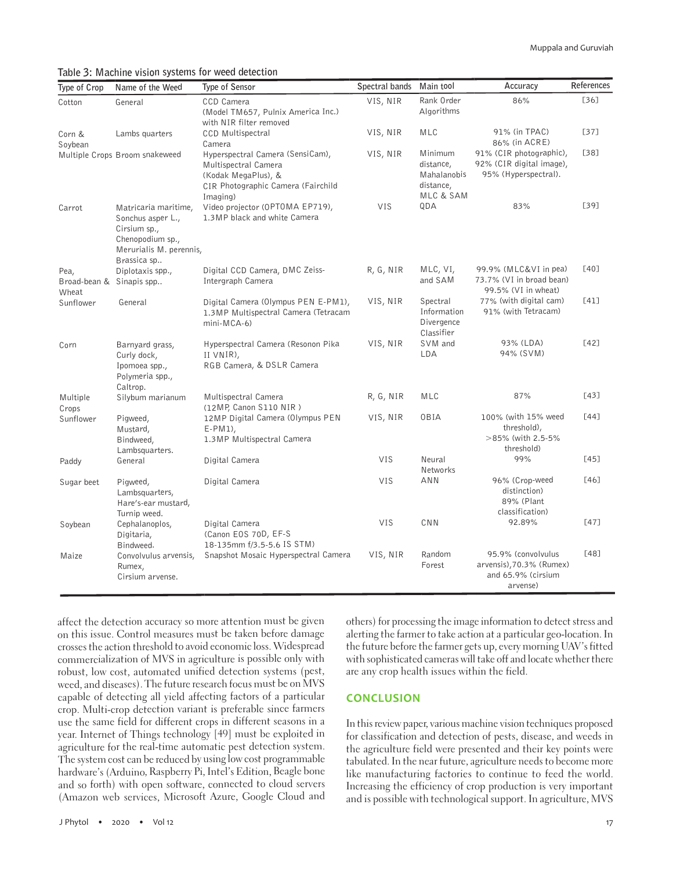**Table 3: Machine vision systems for weed detection**

| Type of Crop                              | Name of the Weed                                                                                                        | Type of Sensor                                                                                                                    | Spectral bands | Main tool                                                     | Accuracy                                                                         | References |
|-------------------------------------------|-------------------------------------------------------------------------------------------------------------------------|-----------------------------------------------------------------------------------------------------------------------------------|----------------|---------------------------------------------------------------|----------------------------------------------------------------------------------|------------|
| Cotton                                    | General                                                                                                                 | CCD Camera<br>(Model TM657, Pulnix America Inc.)<br>with NIR filter removed                                                       | VIS, NIR       | Rank Order<br>Algorithms                                      | 86%                                                                              | [36]       |
| Corn &<br>Soybean                         | Lambs quarters                                                                                                          | <b>CCD Multispectral</b><br>Camera                                                                                                | VIS, NIR       | MLC                                                           | 91% (in TPAC)<br>86% (in ACRE)                                                   | $[37]$     |
|                                           | Multiple Crops Broom snakeweed                                                                                          | Hyperspectral Camera (SensiCam),<br>Multispectral Camera<br>(Kodak MegaPlus), &<br>CIR Photographic Camera (Fairchild<br>Imaging) | VIS, NIR       | Minimum<br>distance,<br>Mahalanobis<br>distance,<br>MLC & SAM | 91% (CIR photographic),<br>92% (CIR digital image),<br>95% (Hyperspectral).      | $[38]$     |
| Carrot                                    | Matricaria maritime,<br>Sonchus asper L.,<br>Cirsium sp.,<br>Chenopodium sp.,<br>Merurialis M. perennis,<br>Brassica sp | Video projector (OPTOMA EP719),<br>1.3 MP black and white Camera                                                                  | VIS            | QDA                                                           | 83%                                                                              | [39]       |
| Pea,<br>Broad-bean & Sinapis spp<br>Wheat | Diplotaxis spp.,                                                                                                        | Digital CCD Camera, DMC Zeiss-<br>Intergraph Camera                                                                               | R, G, NIR      | MLC, VI,<br>and SAM                                           | 99.9% (MLC&VI in pea)<br>73.7% (VI in broad bean)<br>99.5% (VI in wheat)         | [40]       |
| Sunflower                                 | General                                                                                                                 | Digital Camera (Olympus PEN E-PM1),<br>1.3MP Multispectral Camera (Tetracam<br>$min-MCA-6$                                        | VIS, NIR       | Spectral<br>Information<br>Divergence<br>Classifier           | 77% (with digital cam)<br>91% (with Tetracam)                                    | [41]       |
| Corn                                      | Barnyard grass,<br>Curly dock,<br>Ipomoea spp.,<br>Polymeria spp.,<br>Caltrop.                                          | Hyperspectral Camera (Resonon Pika<br>II VNIR),<br>RGB Camera, & DSLR Camera                                                      | VIS, NIR       | SVM and<br>LDA                                                | 93% (LDA)<br>94% (SVM)                                                           | $[42]$     |
| Multiple<br>Crops                         | Silybum marianum                                                                                                        | Multispectral Camera<br>(12MP, Canon S110 NIR)                                                                                    | R, G, NIR      | <b>MLC</b>                                                    | 87%                                                                              | [43]       |
| Sunflower                                 | Pigweed,<br>Mustard,<br>Bindweed,<br>Lambsquarters.                                                                     | 12MP Digital Camera (Olympus PEN<br>$E-PM1$ ),<br>1.3 MP Multispectral Camera                                                     | VIS, NIR       | 0BIA                                                          | 100% (with 15% weed<br>threshold),<br>>85% (with 2.5-5%<br>threshold)            | [44]       |
| Paddy                                     | General                                                                                                                 | Digital Camera                                                                                                                    | VIS            | Neural<br>Networks                                            | 99%                                                                              | $[45]$     |
| Sugar beet                                | Pigweed,<br>Lambsquarters,<br>Hare's-ear mustard,<br>Turnip weed.                                                       | Digital Camera                                                                                                                    | VIS            | <b>ANN</b>                                                    | 96% (Crop-weed<br>distinction)<br>89% (Plant<br>classification)                  | [46]       |
| Soybean                                   | Cephalanoplos,<br>Digitaria,<br>Bindweed.                                                                               | Digital Camera<br>(Canon EOS 70D, EF-S<br>18-135mm f/3.5-5.6 IS STM)                                                              | VIS            | CNN                                                           | 92.89%                                                                           | [47]       |
| Maize                                     | Convolvulus arvensis,<br>Rumex,<br>Cirsium arvense.                                                                     | Snapshot Mosaic Hyperspectral Camera                                                                                              | VIS, NIR       | Random<br>Forest                                              | 95.9% (convolvulus<br>arvensis), 70.3% (Rumex)<br>and 65.9% (cirsium<br>arvense) | [48]       |

affect the detection accuracy so more attention must be given on this issue. Control measures must be taken before damage crosses the action threshold to avoid economic loss. Widespread commercialization of MVS in agriculture is possible only with robust, low cost, automated unified detection systems (pest, weed, and diseases). The future research focus must be on MVS capable of detecting all yield affecting factors of a particular crop. Multi-crop detection variant is preferable since farmers use the same field for different crops in different seasons in a year. Internet of Things technology [49] must be exploited in agriculture for the real-time automatic pest detection system. The system cost can be reduced by using low cost programmable hardware's (Arduino, Raspberry Pi, Intel's Edition, Beagle bone and so forth) with open software, connected to cloud servers (Amazon web services, Microsoft Azure, Google Cloud and others) for processing the image information to detect stress and alerting the farmer to take action at a particular geo-location. In the future before the farmer gets up, every morning UAV's fitted with sophisticated cameras will take off and locate whether there are any crop health issues within the field.

#### **CONCLUSION**

In this review paper, various machine vision techniques proposed for classification and detection of pests, disease, and weeds in the agriculture field were presented and their key points were tabulated. In the near future, agriculture needs to become more like manufacturing factories to continue to feed the world. Increasing the efficiency of crop production is very important and is possible with technological support. In agriculture, MVS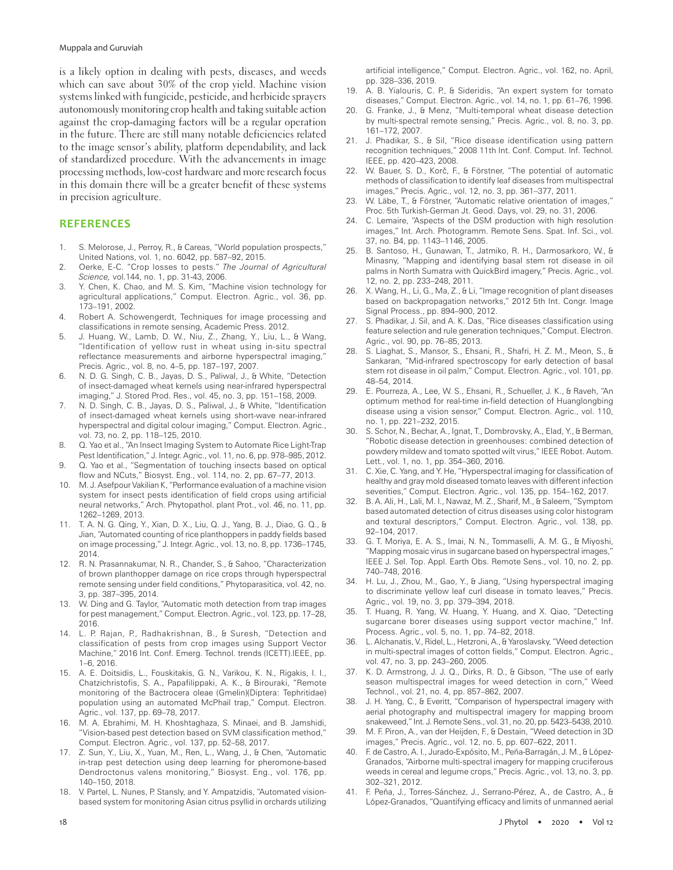#### Muppala and Guruviah

is a likely option in dealing with pests, diseases, and weeds which can save about 30% of the crop yield. Machine vision systems linked with fungicide, pesticide, and herbicide sprayers autonomously monitoring crop health and taking suitable action against the crop-damaging factors will be a regular operation in the future. There are still many notable deficiencies related to the image sensor's ability, platform dependability, and lack of standardized procedure. With the advancements in image processing methods, low-cost hardware and more research focus in this domain there will be a greater benefit of these systems in precision agriculture.

#### **REFERENCES**

- 1. S. Melorose, J., Perroy, R., & Careas, "World population prospects," United Nations, vol. 1, no. 6042, pp. 587–92, 2015.
- 2. Oerke, E-C. "Crop losses to pests." *The Journal of Agricultural Science,* vol.144, no. 1, pp. 31-43, 2006.
- 3. Y. Chen, K. Chao, and M. S. Kim, "Machine vision technology for agricultural applications," Comput. Electron. Agric., vol. 36, pp. 173–191, 2002.
- 4. Robert A. Schowengerdt, Techniques for image processing and classifications in remote sensing, Academic Press. 2012.
- 5. J. Huang, W., Lamb, D. W., Niu, Z., Zhang, Y., Liu, L., & Wang, "Identification of yellow rust in wheat using in-situ spectral reflectance measurements and airborne hyperspectral imaging," Precis. Agric., vol. 8, no. 4–5, pp. 187–197, 2007.
- 6. N. D. G. Singh, C. B., Jayas, D. S., Paliwal, J., & White, "Detection of insect-damaged wheat kernels using near-infrared hyperspectral imaging," J. Stored Prod. Res., vol. 45, no. 3, pp. 151–158, 2009.
- 7. N. D. Singh, C. B., Jayas, D. S., Paliwal, J., & White, "Identification of insect-damaged wheat kernels using short-wave near-infrared hyperspectral and digital colour imaging," Comput. Electron. Agric., vol. 73, no. 2, pp. 118–125, 2010.
- 8. Q. Yao et al., "An Insect Imaging System to Automate Rice Light-Trap Pest Identification," J. Integr. Agric., vol. 11, no. 6, pp. 978–985, 2012.
- 9. Q. Yao et al., "Segmentation of touching insects based on optical flow and NCuts," Biosyst. Eng., vol. 114, no. 2, pp. 67–77, 2013.
- 10. M. J. Asefpour Vakilian K, "Performance evaluation of a machine vision system for insect pests identification of field crops using artificial neural networks," Arch. Phytopathol. plant Prot., vol. 46, no. 11, pp. 1262–1269, 2013.
- 11. T. A. N. G. Qing, Y., Xian, D. X., Liu, Q. J., Yang, B. J., Diao, G. Q., & Jian, "Automated counting of rice planthoppers in paddy fields based on image processing," J. Integr. Agric., vol. 13, no. 8, pp. 1736–1745, 2014.
- 12. R. N. Prasannakumar, N. R., Chander, S., & Sahoo, "Characterization of brown planthopper damage on rice crops through hyperspectral remote sensing under field conditions," Phytoparasitica, vol. 42, no. 3, pp. 387–395, 2014.
- 13. W. Ding and G. Taylor, "Automatic moth detection from trap images for pest management," Comput. Electron. Agric., vol. 123, pp. 17–28, 2016.
- 14. L. P. Rajan, P., Radhakrishnan, B., & Suresh, "Detection and classification of pests from crop images using Support Vector Machine," 2016 Int. Conf. Emerg. Technol. trends (ICETT).IEEE, pp. 1–6, 2016.
- 15. A. E. Doitsidis, L., Fouskitakis, G. N., Varikou, K. N., Rigakis, I. I., Chatzichristofis, S. A., Papafilippaki, A. K., & Birouraki, "Remote monitoring of the Bactrocera oleae (Gmelin)(Diptera: Tephritidae) population using an automated McPhail trap," Comput. Electron. Agric., vol. 137, pp. 69–78, 2017.
- 16. M. A. Ebrahimi, M. H. Khoshtaghaza, S. Minaei, and B. Jamshidi, "Vision-based pest detection based on SVM classification method," Comput. Electron. Agric., vol. 137, pp. 52–58, 2017.
- 17. Z. Sun, Y., Liu, X., Yuan, M., Ren, L., Wang, J., & Chen, "Automatic in-trap pest detection using deep learning for pheromone-based Dendroctonus valens monitoring," Biosyst. Eng., vol. 176, pp. 140–150, 2018.
- 18. V. Partel, L. Nunes, P. Stansly, and Y. Ampatzidis, "Automated visionbased system for monitoring Asian citrus psyllid in orchards utilizing

artificial intelligence," Comput. Electron. Agric., vol. 162, no. April, pp. 328–336, 2019.

- 19. A. B. Yialouris, C. P., & Sideridis, "An expert system for tomato diseases," Comput. Electron. Agric., vol. 14, no. 1, pp. 61–76, 1996.
- 20. G. Franke, J., & Menz, "Multi-temporal wheat disease detection by multi-spectral remote sensing," Precis. Agric., vol. 8, no. 3, pp. 161–172, 2007.
- 21. J. Phadikar, S., & Sil, "Rice disease identification using pattern recognition techniques," 2008 11th Int. Conf. Comput. Inf. Technol. IEEE, pp. 420–423, 2008.
- 22. W. Bauer, S. D., Korč, F., & Förstner, "The potential of automatic methods of classification to identify leaf diseases from multispectral images," Precis. Agric., vol. 12, no. 3, pp. 361–377, 2011.
- 23. W. Läbe, T., & Förstner, "Automatic relative orientation of images," Proc. 5th Turkish-German Jt. Geod. Days, vol. 29, no. 31, 2006.
- 24. C. Lemaire, "Aspects of the DSM production with high resolution images," Int. Arch. Photogramm. Remote Sens. Spat. Inf. Sci., vol. 37, no. B4, pp. 1143–1146, 2005.
- 25. B. Santoso, H., Gunawan, T., Jatmiko, R. H., Darmosarkoro, W., & Minasny, "Mapping and identifying basal stem rot disease in oil palms in North Sumatra with QuickBird imagery," Precis. Agric., vol. 12, no. 2, pp. 233–248, 2011.
- 26. X. Wang, H., Li, G., Ma, Z., & Li, "Image recognition of plant diseases based on backpropagation networks," 2012 5th Int. Congr. Image Signal Process., pp. 894–900, 2012.
- 27. S. Phadikar, J. Sil, and A. K. Das, "Rice diseases classification using feature selection and rule generation techniques," Comput. Electron. Agric., vol. 90, pp. 76–85, 2013.
- 28. S. Liaghat, S., Mansor, S., Ehsani, R., Shafri, H. Z. M., Meon, S., & Sankaran, "Mid-infrared spectroscopy for early detection of basal stem rot disease in oil palm," Comput. Electron. Agric., vol. 101, pp. 48–54, 2014.
- 29. E. Pourreza, A., Lee, W. S., Ehsani, R., Schueller, J. K., & Raveh, "An optimum method for real-time in-field detection of Huanglongbing disease using a vision sensor," Comput. Electron. Agric., vol. 110, no. 1, pp. 221–232, 2015.
- 30. S. Schor, N., Bechar, A., Ignat, T., Dombrovsky, A., Elad, Y., & Berman, "Robotic disease detection in greenhouses: combined detection of powdery mildew and tomato spotted wilt virus," IEEE Robot. Autom. Lett., vol. 1, no. 1, pp. 354–360, 2016.
- 31. C. Xie, C. Yang, and Y. He, "Hyperspectral imaging for classification of healthy and gray mold diseased tomato leaves with different infection severities," Comput. Electron. Agric., vol. 135, pp. 154–162, 2017.
- 32. B. A. Ali, H., Lali, M. I., Nawaz, M. Z., Sharif, M., & Saleem, "Symptom based automated detection of citrus diseases using color histogram and textural descriptors," Comput. Electron. Agric., vol. 138, pp. 92–104, 2017.
- 33. G. T. Moriya, E. A. S., Imai, N. N., Tommaselli, A. M. G., & Miyoshi, "Mapping mosaic virus in sugarcane based on hyperspectral images," IEEE J. Sel. Top. Appl. Earth Obs. Remote Sens., vol. 10, no. 2, pp. 740–748, 2016.
- 34. H. Lu, J., Zhou, M., Gao, Y., & Jiang, "Using hyperspectral imaging to discriminate yellow leaf curl disease in tomato leaves," Precis. Agric., vol. 19, no. 3, pp. 379–394, 2018.
- 35. T. Huang, R. Yang, W. Huang, Y. Huang, and X. Qiao, "Detecting sugarcane borer diseases using support vector machine," Inf. Process. Agric., vol. 5, no. 1, pp. 74–82, 2018.
- 36. L. Alchanatis, V., Ridel, L., Hetzroni, A., & Yaroslavsky, "Weed detection in multi-spectral images of cotton fields," Comput. Electron. Agric., vol. 47, no. 3, pp. 243–260, 2005.
- 37. K. D. Armstrong, J. J. Q., Dirks, R. D., & Gibson, "The use of early season multispectral images for weed detection in corn," Weed Technol., vol. 21, no. 4, pp. 857–862, 2007.
- J. H. Yang, C., & Everitt, "Comparison of hyperspectral imagery with aerial photography and multispectral imagery for mapping broom snakeweed," Int. J. Remote Sens., vol. 31, no. 20, pp. 5423–5438, 2010.
- 39. M. F. Piron, A., van der Heijden, F., & Destain, "Weed detection in 3D images," Precis. Agric., vol. 12, no. 5, pp. 607–622, 2011.
- 40. F. de Castro, A. I., Jurado-Expósito, M., Peña-Barragán, J. M., & López-Granados, "Airborne multi-spectral imagery for mapping cruciferous weeds in cereal and legume crops," Precis. Agric., vol. 13, no. 3, pp. 302–321, 2012.
- 41. F. Peña, J., Torres-Sánchez, J., Serrano-Pérez, A., de Castro, A., & López-Granados, "Quantifying efficacy and limits of unmanned aerial